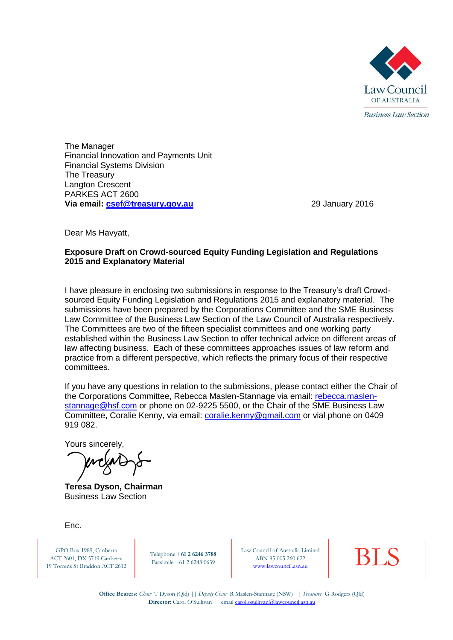

The Manager Financial Innovation and Payments Unit Financial Systems Division The Treasury Langton Crescent PARKES ACT 2600 **Via email: csef@treasury.gov.au** 29 January 2016

Dear Ms Havyatt,

#### **Exposure Draft on Crowd-sourced Equity Funding Legislation and Regulations 2015 and Explanatory Material**

I have pleasure in enclosing two submissions in response to the Treasury's draft Crowdsourced Equity Funding Legislation and Regulations 2015 and explanatory material. The submissions have been prepared by the Corporations Committee and the SME Business Law Committee of the Business Law Section of the Law Council of Australia respectively. The Committees are two of the fifteen specialist committees and one working party established within the Business Law Section to offer technical advice on different areas of law affecting business. Each of these committees approaches issues of law reform and practice from a different perspective, which reflects the primary focus of their respective committees.

If you have any questions in relation to the submissions, please contact either the Chair of the Corporations Committee, Rebecca Maslen-Stannage via email: [rebecca.maslen](mailto:rebecca.maslen-stannage@hsf.com)[stannage@hsf.com](mailto:rebecca.maslen-stannage@hsf.com) or phone on 02-9225 5500, or the Chair of the SME Business Law Committee, Coralie Kenny, via email: [coralie.kenny@gmail.com](mailto:coralie.kenny@gmail.com) or vial phone on 0409 919 082.

Yours sincerely,

**Teresa Dyson, Chairman** Business Law Section

Enc.

GPO Box 1989, Canberra ACT 2601, DX 5719 Canberra 19 Torrens St Braddon ACT 2612

Telephone **+61 2 6246 3788** Facsimile +61 2 6248 0639

Law Council of Australia Limited<br>
ABN 85 005 260 622<br> [www.lawcouncil.asn.au](http://www.lawcouncil.asn.au/) ABN 85 005 260 622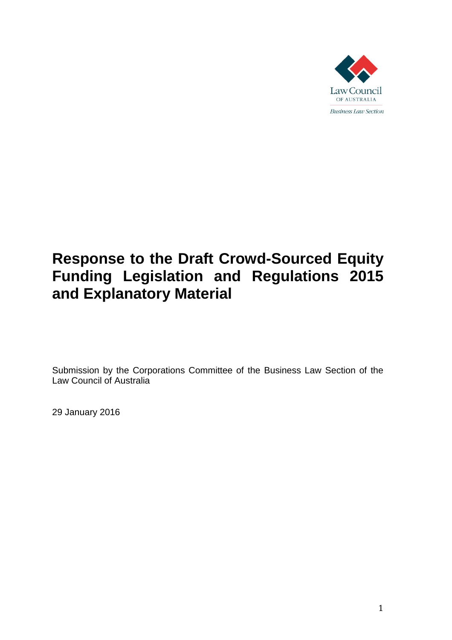

# **Response to the Draft Crowd-Sourced Equity Funding Legislation and Regulations 2015 and Explanatory Material**

Submission by the Corporations Committee of the Business Law Section of the Law Council of Australia

29 January 2016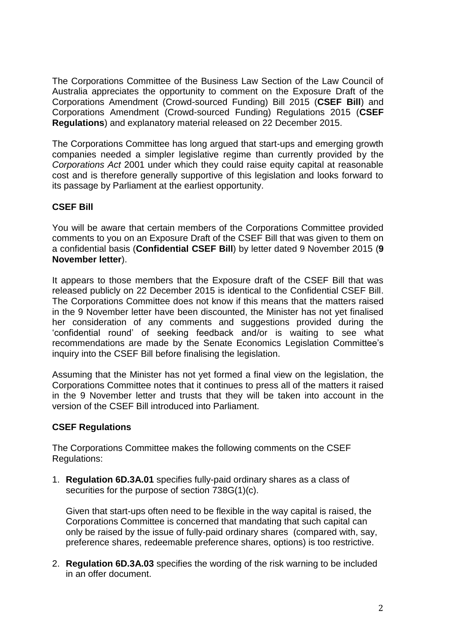The Corporations Committee of the Business Law Section of the Law Council of Australia appreciates the opportunity to comment on the Exposure Draft of the Corporations Amendment (Crowd-sourced Funding) Bill 2015 (**CSEF Bill**) and Corporations Amendment (Crowd-sourced Funding) Regulations 2015 (**CSEF Regulations**) and explanatory material released on 22 December 2015.

The Corporations Committee has long argued that start-ups and emerging growth companies needed a simpler legislative regime than currently provided by the *Corporations Act* 2001 under which they could raise equity capital at reasonable cost and is therefore generally supportive of this legislation and looks forward to its passage by Parliament at the earliest opportunity.

### **CSEF Bill**

You will be aware that certain members of the Corporations Committee provided comments to you on an Exposure Draft of the CSEF Bill that was given to them on a confidential basis (**Confidential CSEF Bill**) by letter dated 9 November 2015 (**9 November letter**).

It appears to those members that the Exposure draft of the CSEF Bill that was released publicly on 22 December 2015 is identical to the Confidential CSEF Bill. The Corporations Committee does not know if this means that the matters raised in the 9 November letter have been discounted, the Minister has not yet finalised her consideration of any comments and suggestions provided during the 'confidential round' of seeking feedback and/or is waiting to see what recommendations are made by the Senate Economics Legislation Committee's inquiry into the CSEF Bill before finalising the legislation.

Assuming that the Minister has not yet formed a final view on the legislation, the Corporations Committee notes that it continues to press all of the matters it raised in the 9 November letter and trusts that they will be taken into account in the version of the CSEF Bill introduced into Parliament.

#### **CSEF Regulations**

The Corporations Committee makes the following comments on the CSEF Regulations:

1. **Regulation 6D.3A.01** specifies fully-paid ordinary shares as a class of securities for the purpose of section 738G(1)(c).

Given that start-ups often need to be flexible in the way capital is raised, the Corporations Committee is concerned that mandating that such capital can only be raised by the issue of fully-paid ordinary shares (compared with, say, preference shares, redeemable preference shares, options) is too restrictive.

2. **Regulation 6D.3A.03** specifies the wording of the risk warning to be included in an offer document.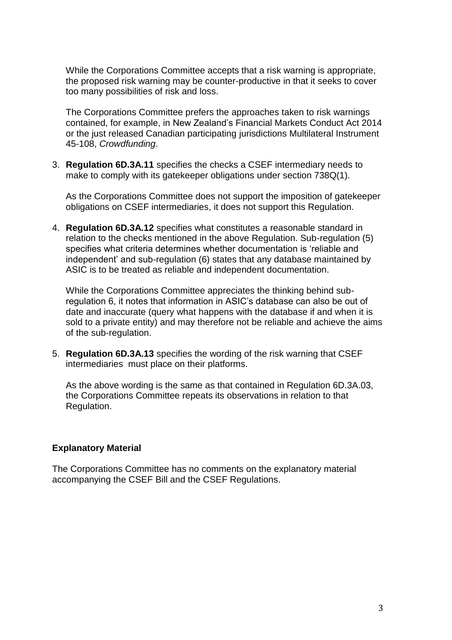While the Corporations Committee accepts that a risk warning is appropriate, the proposed risk warning may be counter-productive in that it seeks to cover too many possibilities of risk and loss.

The Corporations Committee prefers the approaches taken to risk warnings contained, for example, in New Zealand's Financial Markets Conduct Act 2014 or the just released Canadian participating jurisdictions Multilateral Instrument 45-108, *Crowdfunding*.

3. **Regulation 6D.3A.11** specifies the checks a CSEF intermediary needs to make to comply with its gatekeeper obligations under section 738Q(1).

As the Corporations Committee does not support the imposition of gatekeeper obligations on CSEF intermediaries, it does not support this Regulation.

4. **Regulation 6D.3A.12** specifies what constitutes a reasonable standard in relation to the checks mentioned in the above Regulation. Sub-regulation (5) specifies what criteria determines whether documentation is 'reliable and independent' and sub-regulation (6) states that any database maintained by ASIC is to be treated as reliable and independent documentation.

While the Corporations Committee appreciates the thinking behind subregulation 6, it notes that information in ASIC's database can also be out of date and inaccurate (query what happens with the database if and when it is sold to a private entity) and may therefore not be reliable and achieve the aims of the sub-regulation.

5. **Regulation 6D.3A.13** specifies the wording of the risk warning that CSEF intermediaries must place on their platforms.

As the above wording is the same as that contained in Regulation 6D.3A.03, the Corporations Committee repeats its observations in relation to that Regulation.

#### **Explanatory Material**

The Corporations Committee has no comments on the explanatory material accompanying the CSEF Bill and the CSEF Regulations.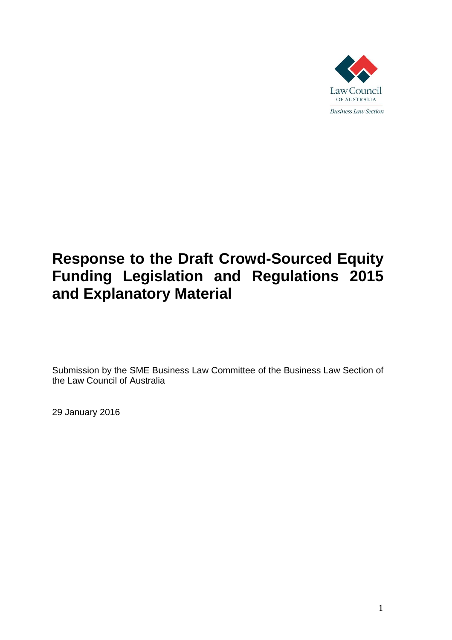

# **Response to the Draft Crowd-Sourced Equity Funding Legislation and Regulations 2015 and Explanatory Material**

Submission by the SME Business Law Committee of the Business Law Section of the Law Council of Australia

29 January 2016